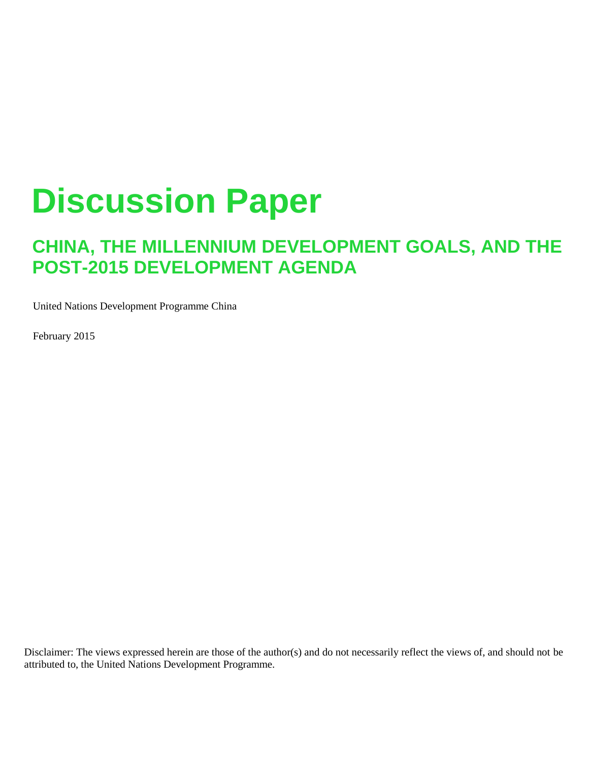# **Discussion Paper**

# **CHINA, THE MILLENNIUM DEVELOPMENT GOALS, AND THE POST-2015 DEVELOPMENT AGENDA**

United Nations Development Programme China

February 2015

Disclaimer: The views expressed herein are those of the author(s) and do not necessarily reflect the views of, and should not be attributed to, the United Nations Development Programme.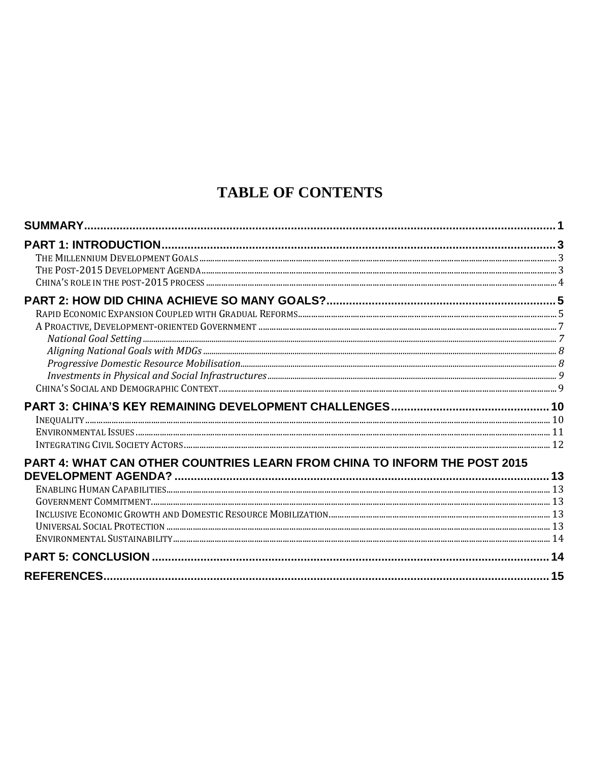# **TABLE OF CONTENTS**

| PART 4: WHAT CAN OTHER COUNTRIES LEARN FROM CHINA TO INFORM THE POST 2015 |  |
|---------------------------------------------------------------------------|--|
|                                                                           |  |
|                                                                           |  |
|                                                                           |  |
|                                                                           |  |
|                                                                           |  |
|                                                                           |  |
|                                                                           |  |
|                                                                           |  |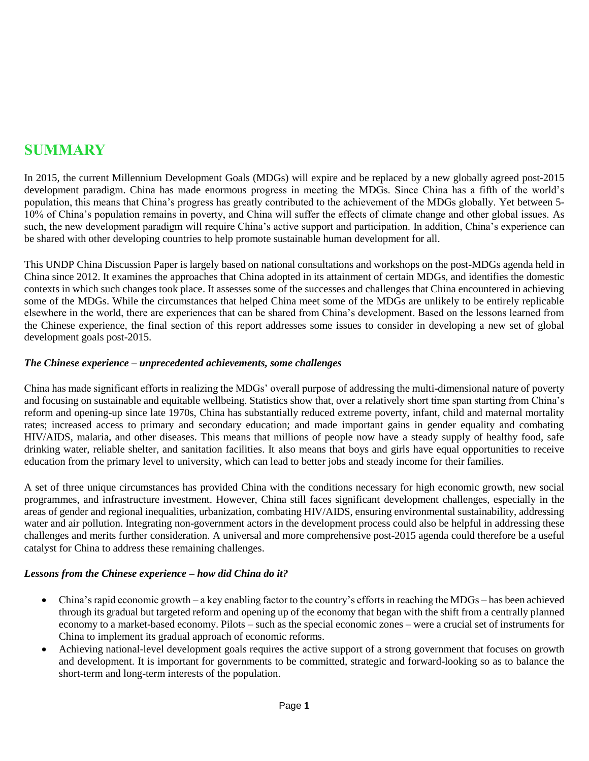# **SUMMARY**

In 2015, the current Millennium Development Goals (MDGs) will expire and be replaced by a new globally agreed post-2015 development paradigm. China has made enormous progress in meeting the MDGs. Since China has a fifth of the world's population, this means that China's progress has greatly contributed to the achievement of the MDGs globally. Yet between 5- 10% of China's population remains in poverty, and China will suffer the effects of climate change and other global issues. As such, the new development paradigm will require China's active support and participation. In addition, China's experience can be shared with other developing countries to help promote sustainable human development for all.

This UNDP China Discussion Paper is largely based on national consultations and workshops on the post-MDGs agenda held in China since 2012. It examines the approaches that China adopted in its attainment of certain MDGs, and identifies the domestic contexts in which such changes took place. It assesses some of the successes and challenges that China encountered in achieving some of the MDGs. While the circumstances that helped China meet some of the MDGs are unlikely to be entirely replicable elsewhere in the world, there are experiences that can be shared from China's development. Based on the lessons learned from the Chinese experience, the final section of this report addresses some issues to consider in developing a new set of global development goals post-2015.

#### *The Chinese experience – unprecedented achievements, some challenges*

China has made significant efforts in realizing the MDGs' overall purpose of addressing the multi-dimensional nature of poverty and focusing on sustainable and equitable wellbeing. Statistics show that, over a relatively short time span starting from China's reform and opening-up since late 1970s, China has substantially reduced extreme poverty, infant, child and maternal mortality rates; increased access to primary and secondary education; and made important gains in gender equality and combating HIV/AIDS, malaria, and other diseases. This means that millions of people now have a steady supply of healthy food, safe drinking water, reliable shelter, and sanitation facilities. It also means that boys and girls have equal opportunities to receive education from the primary level to university, which can lead to better jobs and steady income for their families.

A set of three unique circumstances has provided China with the conditions necessary for high economic growth, new social programmes, and infrastructure investment. However, China still faces significant development challenges, especially in the areas of gender and regional inequalities, urbanization, combating HIV/AIDS, ensuring environmental sustainability, addressing water and air pollution. Integrating non-government actors in the development process could also be helpful in addressing these challenges and merits further consideration. A universal and more comprehensive post-2015 agenda could therefore be a useful catalyst for China to address these remaining challenges.

#### *Lessons from the Chinese experience – how did China do it?*

- China's rapid economic growth a key enabling factor to the country's efforts in reaching the MDGs has been achieved through its gradual but targeted reform and opening up of the economy that began with the shift from a centrally planned economy to a market-based economy. Pilots – such as the special economic zones – were a crucial set of instruments for China to implement its gradual approach of economic reforms.
- Achieving national-level development goals requires the active support of a strong government that focuses on growth and development. It is important for governments to be committed, strategic and forward-looking so as to balance the short-term and long-term interests of the population.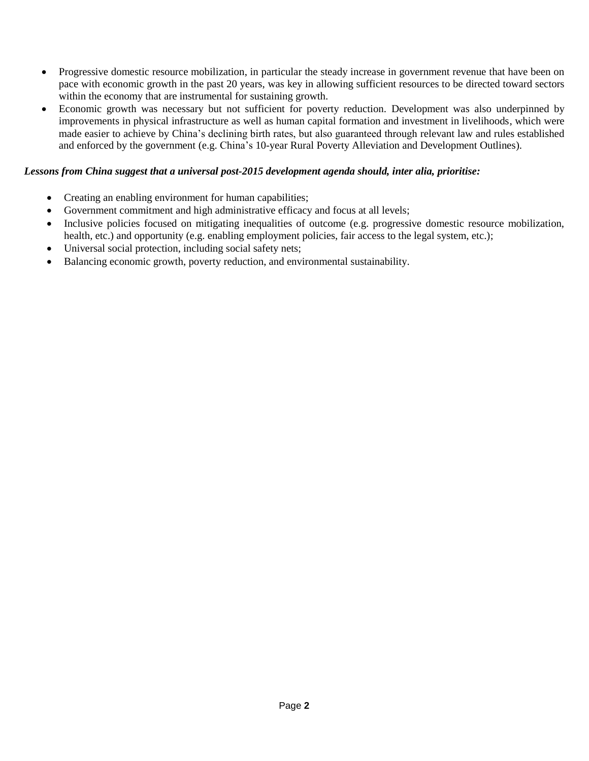- Progressive domestic resource mobilization, in particular the steady increase in government revenue that have been on pace with economic growth in the past 20 years, was key in allowing sufficient resources to be directed toward sectors within the economy that are instrumental for sustaining growth.
- Economic growth was necessary but not sufficient for poverty reduction. Development was also underpinned by improvements in physical infrastructure as well as human capital formation and investment in livelihoods, which were made easier to achieve by China's declining birth rates, but also guaranteed through relevant law and rules established and enforced by the government (e.g. China's 10-year Rural Poverty Alleviation and Development Outlines).

#### *Lessons from China suggest that a universal post-2015 development agenda should, inter alia, prioritise:*

- Creating an enabling environment for human capabilities;
- Government commitment and high administrative efficacy and focus at all levels;
- Inclusive policies focused on mitigating inequalities of outcome (e.g. progressive domestic resource mobilization, health, etc.) and opportunity (e.g. enabling employment policies, fair access to the legal system, etc.);
- Universal social protection, including social safety nets;
- Balancing economic growth, poverty reduction, and environmental sustainability.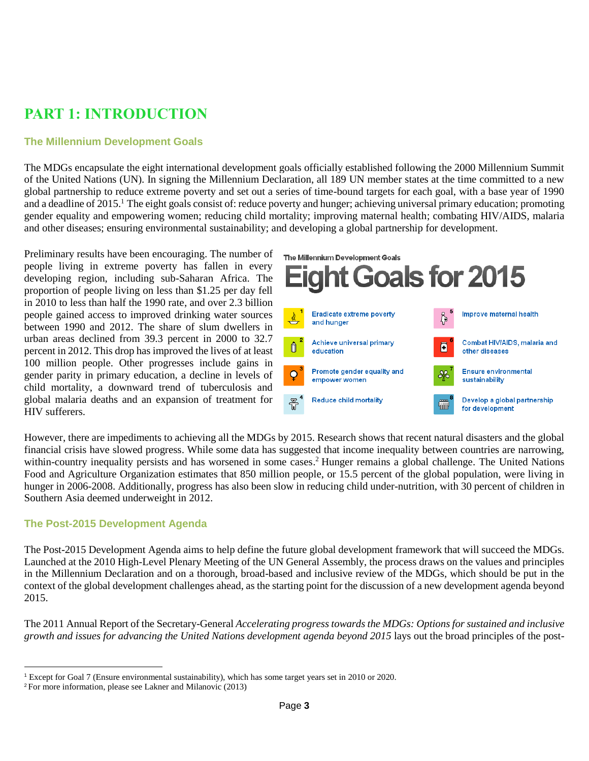# **PART 1: INTRODUCTION**

#### **The Millennium Development Goals**

The MDGs encapsulate the eight international development goals officially established following the 2000 Millennium Summit of the United Nations (UN). In signing the Millennium Declaration, all 189 UN member states at the time committed to a new global partnership to reduce extreme poverty and set out a series of time-bound targets for each goal, with a base year of 1990 and a deadline of 2015.<sup>1</sup> The eight goals consist of: reduce poverty and hunger; achieving universal primary education; promoting gender equality and empowering women; reducing child mortality; improving maternal health; combating HIV/AIDS, malaria and other diseases; ensuring environmental sustainability; and developing a global partnership for development.

Preliminary results have been encouraging. The number of people living in extreme poverty has fallen in every developing region, including sub-Saharan Africa. The proportion of people living on less than \$1.25 per day fell in 2010 to less than half the 1990 rate, and over 2.3 billion people gained access to improved drinking water sources between 1990 and 2012. The share of slum dwellers in urban areas declined from 39.3 percent in 2000 to 32.7 percent in 2012. This drop has improved the lives of at least 100 million people. Other progresses include gains in gender parity in primary education, a decline in levels of child mortality, a downward trend of tuberculosis and global malaria deaths and an expansion of treatment for HIV sufferers.



However, there are impediments to achieving all the MDGs by 2015. Research shows that recent natural disasters and the global financial crisis have slowed progress. While some data has suggested that income inequality between countries are narrowing, within-country inequality persists and has worsened in some cases. <sup>2</sup> Hunger remains a global challenge. The United Nations Food and Agriculture Organization estimates that 850 million people, or 15.5 percent of the global population, were living in hunger in 2006-2008. Additionally, progress has also been slow in reducing child under-nutrition, with 30 percent of children in Southern Asia deemed underweight in 2012.

#### **The Post-2015 Development Agenda**

The Post-2015 Development Agenda aims to help define the future global development framework that will succeed the MDGs. Launched at the 2010 High-Level Plenary Meeting of the UN General Assembly, the process draws on the values and principles in the Millennium Declaration and on a thorough, broad-based and inclusive review of the MDGs, which should be put in the context of the global development challenges ahead, as the starting point for the discussion of a new development agenda beyond 2015.

The 2011 Annual Report of the Secretary-General *Accelerating progress towards the MDGs: Options for sustained and inclusive growth and issues for advancing the United Nations development agenda beyond 2015* lays out the broad principles of the post-

l

<sup>1</sup> Except for Goal 7 (Ensure environmental sustainability), which has some target years set in 2010 or 2020.

<sup>2</sup> For more information, please see Lakner and Milanovic (2013)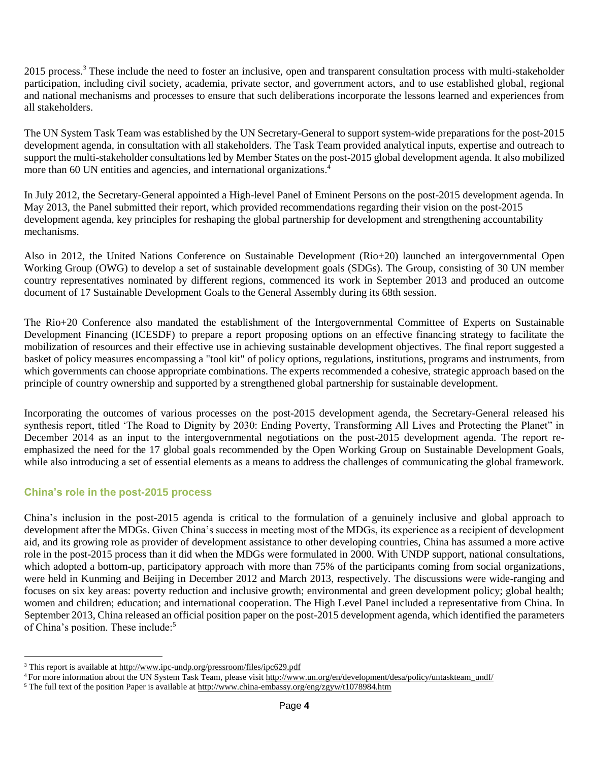2015 process.*<sup>3</sup>* These include the need to foster an inclusive, open and transparent consultation process with multi-stakeholder participation, including civil society, academia, private sector, and government actors, and to use established global, regional and national mechanisms and processes to ensure that such deliberations incorporate the lessons learned and experiences from all stakeholders.

The UN System Task Team was established by the UN Secretary-General to support system-wide preparations for the post-2015 development agenda, in consultation with all stakeholders. The Task Team provided analytical inputs, expertise and outreach to support the multi-stakeholder consultations led by Member States on the post-2015 global development agenda. It also mobilized more than 60 UN entities and agencies, and international organizations. 4

In July 2012, the Secretary-General appointed a High-level Panel of Eminent Persons on the post-2015 development agenda. In May 2013, the Panel submitted their report, which provided recommendations regarding their vision on the post-2015 development agenda, key principles for reshaping the global partnership for development and strengthening accountability mechanisms.

Also in 2012, the United Nations Conference on Sustainable Development (Rio+20) launched an intergovernmental Open Working Group (OWG) to develop a set of sustainable development goals (SDGs). The Group, consisting of 30 UN member country representatives nominated by different regions, commenced its work in September 2013 and produced an outcome document of 17 Sustainable Development Goals to the General Assembly during its 68th session.

The Rio+20 Conference also mandated the establishment of the Intergovernmental Committee of Experts on Sustainable Development Financing (ICESDF) to prepare a report proposing options on an effective financing strategy to facilitate the mobilization of resources and their effective use in achieving sustainable development objectives. The final report suggested a basket of policy measures encompassing a "tool kit" of policy options, regulations, institutions, programs and instruments, from which governments can choose appropriate combinations. The experts recommended a cohesive, strategic approach based on the principle of country ownership and supported by a strengthened global partnership for sustainable development.

Incorporating the outcomes of various processes on the post-2015 development agenda, the Secretary-General released his synthesis report, titled 'The Road to Dignity by 2030: Ending Poverty, Transforming All Lives and Protecting the Planet" in December 2014 as an input to the intergovernmental negotiations on the post-2015 development agenda. The report reemphasized the need for the 17 global goals recommended by the Open Working Group on Sustainable Development Goals, while also introducing a set of essential elements as a means to address the challenges of communicating the global framework.

#### **China's role in the post-2015 process**

l

China's inclusion in the post-2015 agenda is critical to the formulation of a genuinely inclusive and global approach to development after the MDGs. Given China's success in meeting most of the MDGs, its experience as a recipient of development aid, and its growing role as provider of development assistance to other developing countries, China has assumed a more active role in the post-2015 process than it did when the MDGs were formulated in 2000. With UNDP support, national consultations, which adopted a bottom-up, participatory approach with more than 75% of the participants coming from social organizations, were held in Kunming and Beijing in December 2012 and March 2013, respectively. The discussions were wide-ranging and focuses on six key areas: poverty reduction and inclusive growth; environmental and green development policy; global health; women and children; education; and international cooperation. The High Level Panel included a representative from China. In September 2013, China released an official position paper on the post-2015 development agenda, which identified the parameters of China's position. These include:<sup>5</sup>

<sup>&</sup>lt;sup>3</sup> This report is available at<http://www.ipc-undp.org/pressroom/files/ipc629.pdf>

<sup>4</sup> For more information about the UN System Task Team, please visit http://www.un.org/en/development/desa/policy/untaskteam\_undf/

<sup>&</sup>lt;sup>5</sup> The full text of the position Paper is available at http://www.china-embassy.org/eng/zgyw/t1078984.htm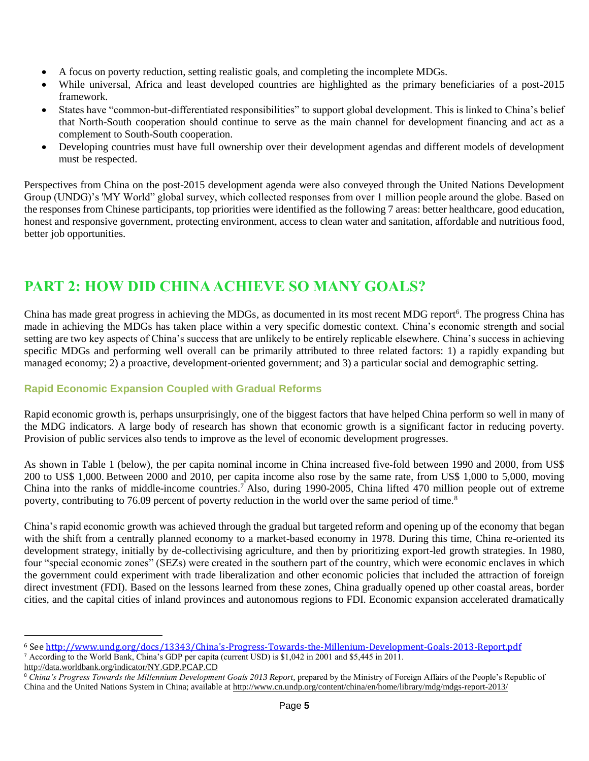- A focus on poverty reduction, setting realistic goals, and completing the incomplete MDGs.
- While universal, Africa and least developed countries are highlighted as the primary beneficiaries of a post-2015 framework.
- States have "common-but-differentiated responsibilities" to support global development. This is linked to China's belief that North-South cooperation should continue to serve as the main channel for development financing and act as a complement to South-South cooperation.
- Developing countries must have full ownership over their development agendas and different models of development must be respected.

Perspectives from China on the post-2015 development agenda were also conveyed through the United Nations Development Group (UNDG)'s 'MY World" global survey, which collected responses from over 1 million people around the globe. Based on the responses from Chinese participants, top priorities were identified as the following 7 areas: better healthcare, good education, honest and responsive government, protecting environment, access to clean water and sanitation, affordable and nutritious food, better job opportunities.

# **PART 2: HOW DID CHINA ACHIEVE SO MANY GOALS?**

China has made great progress in achieving the MDGs, as documented in its most recent MDG report<sup>6</sup>. The progress China has made in achieving the MDGs has taken place within a very specific domestic context. China's economic strength and social setting are two key aspects of China's success that are unlikely to be entirely replicable elsewhere. China's success in achieving specific MDGs and performing well overall can be primarily attributed to three related factors: 1) a rapidly expanding but managed economy; 2) a proactive, development-oriented government; and 3) a particular social and demographic setting.

#### **Rapid Economic Expansion Coupled with Gradual Reforms**

Rapid economic growth is, perhaps unsurprisingly, one of the biggest factors that have helped China perform so well in many of the MDG indicators. A large body of research has shown that economic growth is a significant factor in reducing poverty. Provision of public services also tends to improve as the level of economic development progresses.

As shown in Table 1 (below), the per capita nominal income in China increased five-fold between 1990 and 2000, from US\$ 200 to US\$ 1,000. Between 2000 and 2010, per capita income also rose by the same rate, from US\$ 1,000 to 5,000, moving China into the ranks of middle-income countries.<sup>7</sup> Also, during 1990-2005, China lifted 470 million people out of extreme poverty, contributing to 76.09 percent of poverty reduction in the world over the same period of time.<sup>8</sup>

China's rapid economic growth was achieved through the gradual but targeted reform and opening up of the economy that began with the shift from a centrally planned economy to a market-based economy in 1978. During this time, China re-oriented its development strategy, initially by de-collectivising agriculture, and then by prioritizing export-led growth strategies. In 1980, four "special economic zones" (SEZs) were created in the southern part of the country, which were economic enclaves in which the government could experiment with trade liberalization and other economic policies that included the attraction of foreign direct investment (FDI). Based on the lessons learned from these zones, China gradually opened up other coastal areas, border cities, and the capital cities of inland provinces and autonomous regions to FDI. Economic expansion accelerated dramatically

l

<sup>6</sup> See [http://www.undg.org/docs/13343/China's-Progress-Towards-the-Millenium-Development-Goals-2013-Report.pdf](http://www.undg.org/docs/13343/China)

<sup>7</sup> According to the World Bank, China's GDP per capita (current USD) is \$1,042 in 2001 and \$5,445 in 2011.

<http://data.worldbank.org/indicator/NY.GDP.PCAP.CD>

<sup>&</sup>lt;sup>8</sup> China's Progress Towards the Millennium Development Goals 2013 Report, prepared by the Ministry of Foreign Affairs of the People's Republic of China and the United Nations System in China; available at<http://www.cn.undp.org/content/china/en/home/library/mdg/mdgs-report-2013/>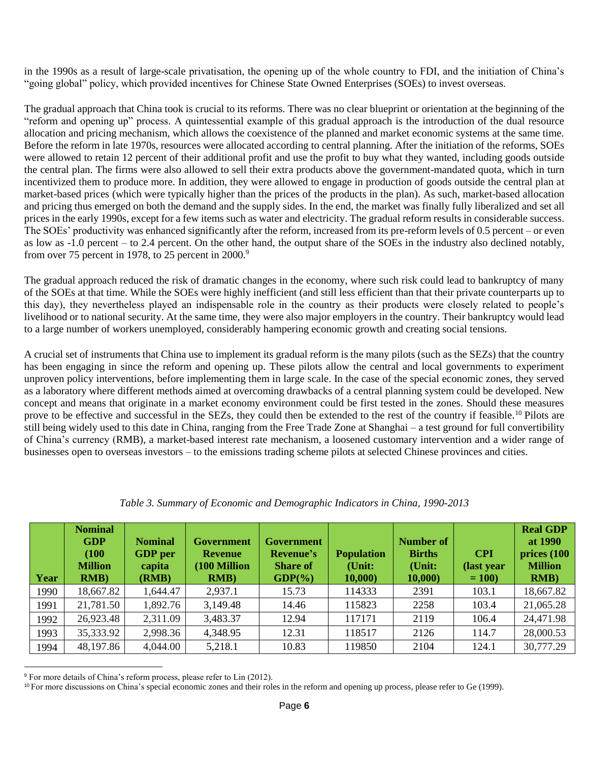in the 1990s as a result of large-scale privatisation, the opening up of the whole country to FDI, and the initiation of China's "going global" policy, which provided incentives for Chinese State Owned Enterprises (SOEs) to invest overseas.

The gradual approach that China took is crucial to its reforms. There was no clear blueprint or orientation at the beginning of the "reform and opening up" process. A quintessential example of this gradual approach is the introduction of the dual resource allocation and pricing mechanism, which allows the coexistence of the planned and market economic systems at the same time. Before the reform in late 1970s, resources were allocated according to central planning. After the initiation of the reforms, SOEs were allowed to retain 12 percent of their additional profit and use the profit to buy what they wanted, including goods outside the central plan. The firms were also allowed to sell their extra products above the government-mandated quota, which in turn incentivized them to produce more. In addition, they were allowed to engage in production of goods outside the central plan at market-based prices (which were typically higher than the prices of the products in the plan). As such, market-based allocation and pricing thus emerged on both the demand and the supply sides. In the end, the market was finally fully liberalized and set all prices in the early 1990s, except for a few items such as water and electricity. The gradual reform results in considerable success. The SOEs' productivity was enhanced significantly after the reform, increased from its pre-reform levels of 0.5 percent – or even as low as -1.0 percent – to 2.4 percent. On the other hand, the output share of the SOEs in the industry also declined notably, from over 75 percent in 1978, to 25 percent in 2000.<sup>9</sup>

The gradual approach reduced the risk of dramatic changes in the economy, where such risk could lead to bankruptcy of many of the SOEs at that time. While the SOEs were highly inefficient (and still less efficient than that their private counterparts up to this day), they nevertheless played an indispensable role in the country as their products were closely related to people's livelihood or to national security. At the same time, they were also major employers in the country. Their bankruptcy would lead to a large number of workers unemployed, considerably hampering economic growth and creating social tensions.

A crucial set of instruments that China use to implement its gradual reform is the many pilots (such as the SEZs) that the country has been engaging in since the reform and opening up. These pilots allow the central and local governments to experiment unproven policy interventions, before implementing them in large scale. In the case of the special economic zones, they served as a laboratory where different methods aimed at overcoming drawbacks of a central planning system could be developed. New concept and means that originate in a market economy environment could be first tested in the zones. Should these measures prove to be effective and successful in the SEZs, they could then be extended to the rest of the country if feasible.<sup>10</sup> Pilots are still being widely used to this date in China, ranging from the Free Trade Zone at Shanghai – a test ground for full convertibility of China's currency (RMB), a market-based interest rate mechanism, a loosened customary intervention and a wider range of businesses open to overseas investors – to the emissions trading scheme pilots at selected Chinese provinces and cities.

| Year | <b>Nominal</b><br><b>GDP</b><br>(100)<br><b>Million</b><br>RMB) | <b>Nominal</b><br><b>GDP</b> per<br>capita<br>(RMB) | <b>Government</b><br><b>Revenue</b><br>(100 Million<br>RMB) | <b>Government</b><br><b>Revenue's</b><br><b>Share of</b><br>$GDP(\% )$ | <b>Population</b><br>(Unit:<br>10,000 | <b>Number of</b><br><b>Births</b><br>(Unit:<br>10,000 | <b>CPI</b><br>(last year)<br>$= 100$ | <b>Real GDP</b><br>at 1990<br>$\frac{1}{100}$<br><b>Million</b><br>RMB) |
|------|-----------------------------------------------------------------|-----------------------------------------------------|-------------------------------------------------------------|------------------------------------------------------------------------|---------------------------------------|-------------------------------------------------------|--------------------------------------|-------------------------------------------------------------------------|
| 1990 | 18,667.82                                                       | 1,644.47                                            | 2,937.1                                                     | 15.73                                                                  | 114333                                | 2391                                                  | 103.1                                | 18,667.82                                                               |
| 1991 | 21,781.50                                                       | 1,892.76                                            | 3,149.48                                                    | 14.46                                                                  | 115823                                | 2258                                                  | 103.4                                | 21,065.28                                                               |
| 1992 | 26,923.48                                                       | 2,311.09                                            | 3,483.37                                                    | 12.94                                                                  | 117171                                | 2119                                                  | 106.4                                | 24,471.98                                                               |
| 1993 | 35,333.92                                                       | 2,998.36                                            | 4,348.95                                                    | 12.31                                                                  | 118517                                | 2126                                                  | 114.7                                | 28,000.53                                                               |
| 1994 | 48,197.86                                                       | 4,044.00                                            | 5,218.1                                                     | 10.83                                                                  | 119850                                | 2104                                                  | 124.1                                | 30,777.29                                                               |

*Table 3. Summary of Economic and Demographic Indicators in China, 1990-2013*

l

<sup>9</sup> For more details of China's reform process, please refer to Lin (2012).

<sup>10</sup> For more discussions on China's special economic zones and their roles in the reform and opening up process, please refer to Ge (1999).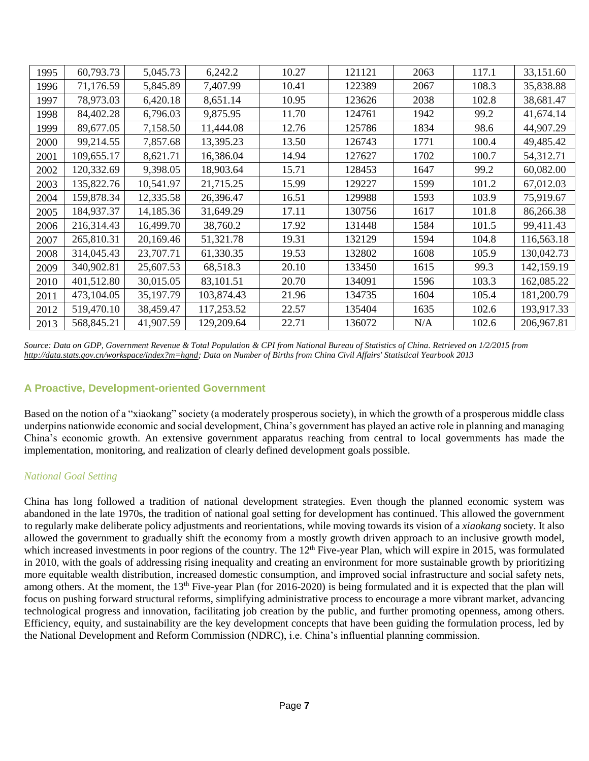| 1995 | 60,793.73  | 5,045.73  | 6,242.2    | 10.27 | 121121 | 2063 | 117.1 | 33,151.60  |
|------|------------|-----------|------------|-------|--------|------|-------|------------|
| 1996 | 71,176.59  | 5,845.89  | 7,407.99   | 10.41 | 122389 | 2067 | 108.3 | 35,838.88  |
| 1997 | 78,973.03  | 6,420.18  | 8,651.14   | 10.95 | 123626 | 2038 | 102.8 | 38,681.47  |
| 1998 | 84,402.28  | 6,796.03  | 9,875.95   | 11.70 | 124761 | 1942 | 99.2  | 41,674.14  |
| 1999 | 89,677.05  | 7,158.50  | 11,444.08  | 12.76 | 125786 | 1834 | 98.6  | 44,907.29  |
| 2000 | 99,214.55  | 7,857.68  | 13,395.23  | 13.50 | 126743 | 1771 | 100.4 | 49,485.42  |
| 2001 | 109,655.17 | 8,621.71  | 16,386.04  | 14.94 | 127627 | 1702 | 100.7 | 54,312.71  |
| 2002 | 120,332.69 | 9,398.05  | 18,903.64  | 15.71 | 128453 | 1647 | 99.2  | 60,082.00  |
| 2003 | 135,822.76 | 10,541.97 | 21,715.25  | 15.99 | 129227 | 1599 | 101.2 | 67,012.03  |
| 2004 | 159,878.34 | 12,335.58 | 26,396.47  | 16.51 | 129988 | 1593 | 103.9 | 75,919.67  |
| 2005 | 184,937.37 | 14,185.36 | 31,649.29  | 17.11 | 130756 | 1617 | 101.8 | 86,266.38  |
| 2006 | 216,314.43 | 16,499.70 | 38,760.2   | 17.92 | 131448 | 1584 | 101.5 | 99,411.43  |
| 2007 | 265,810.31 | 20,169.46 | 51,321.78  | 19.31 | 132129 | 1594 | 104.8 | 116,563.18 |
| 2008 | 314,045.43 | 23,707.71 | 61,330.35  | 19.53 | 132802 | 1608 | 105.9 | 130,042.73 |
| 2009 | 340,902.81 | 25,607.53 | 68,518.3   | 20.10 | 133450 | 1615 | 99.3  | 142,159.19 |
| 2010 | 401,512.80 | 30,015.05 | 83,101.51  | 20.70 | 134091 | 1596 | 103.3 | 162,085.22 |
| 2011 | 473,104.05 | 35,197.79 | 103,874.43 | 21.96 | 134735 | 1604 | 105.4 | 181,200.79 |
| 2012 | 519,470.10 | 38,459.47 | 117,253.52 | 22.57 | 135404 | 1635 | 102.6 | 193,917.33 |
| 2013 | 568,845.21 | 41,907.59 | 129,209.64 | 22.71 | 136072 | N/A  | 102.6 | 206,967.81 |

*Source: Data on GDP, Government Revenue & Total Population & CPI from National Bureau of Statistics of China. Retrieved on 1/2/2015 from [http://data.stats.gov.cn/workspace/index?m=hgnd;](http://data.stats.gov.cn/workspace/index?m=hgnd) Data on Number of Births from China Civil Affairs' Statistical Yearbook 2013*

#### **A Proactive, Development-oriented Government**

Based on the notion of a "xiaokang" society (a moderately prosperous society), in which the growth of a prosperous middle class underpins nationwide economic and social development, China's government has played an active role in planning and managing China's economic growth. An extensive government apparatus reaching from central to local governments has made the implementation, monitoring, and realization of clearly defined development goals possible.

#### *National Goal Setting*

China has long followed a tradition of national development strategies. Even though the planned economic system was abandoned in the late 1970s, the tradition of national goal setting for development has continued. This allowed the government to regularly make deliberate policy adjustments and reorientations, while moving towards its vision of a *xiaokang* society. It also allowed the government to gradually shift the economy from a mostly growth driven approach to an inclusive growth model, which increased investments in poor regions of the country. The 12<sup>th</sup> Five-year Plan, which will expire in 2015, was formulated in 2010, with the goals of addressing rising inequality and creating an environment for more sustainable growth by prioritizing more equitable wealth distribution, increased domestic consumption, and improved social infrastructure and social safety nets, among others. At the moment, the 13<sup>th</sup> Five-year Plan (for 2016-2020) is being formulated and it is expected that the plan will focus on pushing forward structural reforms, simplifying administrative process to encourage a more vibrant market, advancing technological progress and innovation, facilitating job creation by the public, and further promoting openness, among others. Efficiency, equity, and sustainability are the key development concepts that have been guiding the formulation process, led by the National Development and Reform Commission (NDRC), i.e. China's influential planning commission.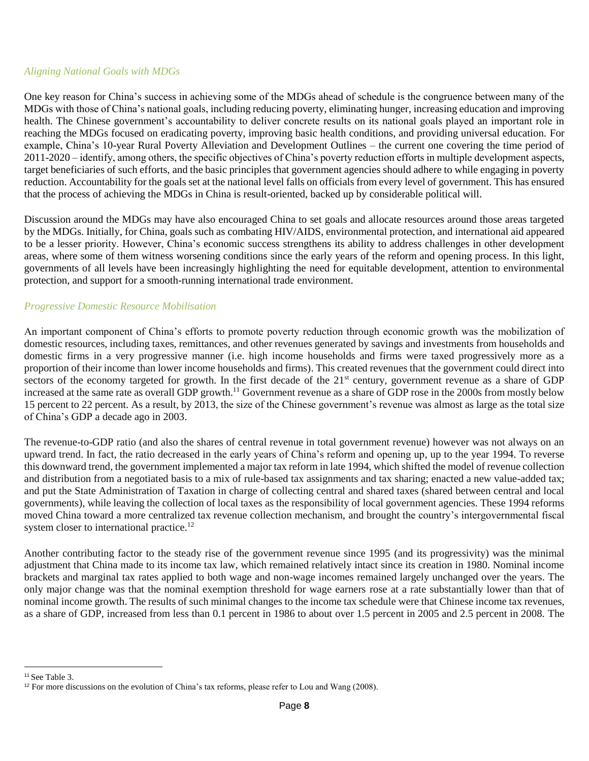#### *Aligning National Goals with MDGs*

One key reason for China's success in achieving some of the MDGs ahead of schedule is the congruence between many of the MDGs with those of China's national goals, including reducing poverty, eliminating hunger, increasing education and improving health. The Chinese government's accountability to deliver concrete results on its national goals played an important role in reaching the MDGs focused on eradicating poverty, improving basic health conditions, and providing universal education. For example, China's 10-year Rural Poverty Alleviation and Development Outlines – the current one covering the time period of 2011-2020 – identify, among others, the specific objectives of China's poverty reduction efforts in multiple development aspects, target beneficiaries of such efforts, and the basic principles that government agencies should adhere to while engaging in poverty reduction. Accountability for the goals set at the national level falls on officials from every level of government. This has ensured that the process of achieving the MDGs in China is result-oriented, backed up by considerable political will.

Discussion around the MDGs may have also encouraged China to set goals and allocate resources around those areas targeted by the MDGs. Initially, for China, goals such as combating HIV/AIDS, environmental protection, and international aid appeared to be a lesser priority. However, China's economic success strengthens its ability to address challenges in other development areas, where some of them witness worsening conditions since the early years of the reform and opening process. In this light, governments of all levels have been increasingly highlighting the need for equitable development, attention to environmental protection, and support for a smooth-running international trade environment.

#### *Progressive Domestic Resource Mobilisation*

An important component of China's efforts to promote poverty reduction through economic growth was the mobilization of domestic resources, including taxes, remittances, and other revenues generated by savings and investments from households and domestic firms in a very progressive manner (i.e. high income households and firms were taxed progressively more as a proportion of their income than lower income households and firms). This created revenues that the government could direct into sectors of the economy targeted for growth. In the first decade of the 21<sup>st</sup> century, government revenue as a share of GDP increased at the same rate as overall GDP growth. <sup>11</sup> Government revenue as a share of GDP rose in the 2000s from mostly below 15 percent to 22 percent. As a result, by 2013, the size of the Chinese government's revenue was almost as large as the total size of China's GDP a decade ago in 2003.

The revenue-to-GDP ratio (and also the shares of central revenue in total government revenue) however was not always on an upward trend. In fact, the ratio decreased in the early years of China's reform and opening up, up to the year 1994. To reverse this downward trend, the government implemented a major tax reform in late 1994, which shifted the model of revenue collection and distribution from a negotiated basis to a mix of rule-based tax assignments and tax sharing; enacted a new value-added tax; and put the State Administration of Taxation in charge of collecting central and shared taxes (shared between central and local governments), while leaving the collection of local taxes as the responsibility of local government agencies. These 1994 reforms moved China toward a more centralized tax revenue collection mechanism, and brought the country's intergovernmental fiscal system closer to international practice.<sup>12</sup>

Another contributing factor to the steady rise of the government revenue since 1995 (and its progressivity) was the minimal adjustment that China made to its income tax law, which remained relatively intact since its creation in 1980. Nominal income brackets and marginal tax rates applied to both wage and non-wage incomes remained largely unchanged over the years. The only major change was that the nominal exemption threshold for wage earners rose at a rate substantially lower than that of nominal income growth. The results of such minimal changes to the income tax schedule were that Chinese income tax revenues, as a share of GDP, increased from less than 0.1 percent in 1986 to about over 1.5 percent in 2005 and 2.5 percent in 2008. The

 <sup>11</sup> See Table 3.

<sup>&</sup>lt;sup>12</sup> For more discussions on the evolution of China's tax reforms, please refer to Lou and Wang (2008).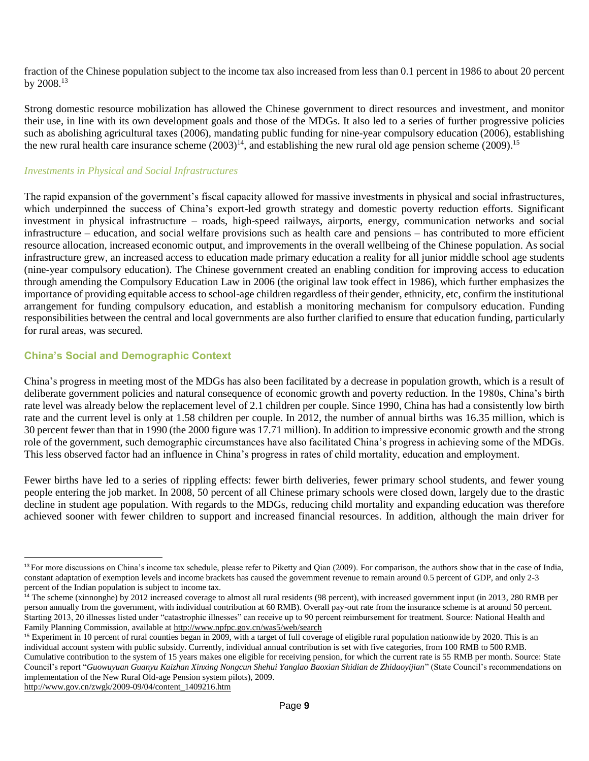fraction of the Chinese population subject to the income tax also increased from less than 0.1 percent in 1986 to about 20 percent by  $2008.^{13}$ 

Strong domestic resource mobilization has allowed the Chinese government to direct resources and investment, and monitor their use, in line with its own development goals and those of the MDGs. It also led to a series of further progressive policies such as abolishing agricultural taxes (2006), mandating public funding for nine-year compulsory education (2006), establishing the new rural health care insurance scheme  $(2003)^{14}$ , and establishing the new rural old age pension scheme  $(2009)^{15}$ 

#### *Investments in Physical and Social Infrastructures*

The rapid expansion of the government's fiscal capacity allowed for massive investments in physical and social infrastructures, which underpinned the success of China's export-led growth strategy and domestic poverty reduction efforts. Significant investment in physical infrastructure – roads, high-speed railways, airports, energy, communication networks and social infrastructure – education, and social welfare provisions such as health care and pensions – has contributed to more efficient resource allocation, increased economic output, and improvements in the overall wellbeing of the Chinese population. As social infrastructure grew, an increased access to education made primary education a reality for all junior middle school age students (nine-year compulsory education). The Chinese government created an enabling condition for improving access to education through amending the Compulsory Education Law in 2006 (the original law took effect in 1986), which further emphasizes the importance of providing equitable access to school-age children regardless of their gender, ethnicity, etc, confirm the institutional arrangement for funding compulsory education, and establish a monitoring mechanism for compulsory education. Funding responsibilities between the central and local governments are also further clarified to ensure that education funding, particularly for rural areas, was secured.

#### **China's Social and Demographic Context**

China's progress in meeting most of the MDGs has also been facilitated by a decrease in population growth, which is a result of deliberate government policies and natural consequence of economic growth and poverty reduction. In the 1980s, China's birth rate level was already below the replacement level of 2.1 children per couple. Since 1990, China has had a consistently low birth rate and the current level is only at 1.58 children per couple. In 2012, the number of annual births was 16.35 million, which is 30 percent fewer than that in 1990 (the 2000 figure was 17.71 million). In addition to impressive economic growth and the strong role of the government, such demographic circumstances have also facilitated China's progress in achieving some of the MDGs. This less observed factor had an influence in China's progress in rates of child mortality, education and employment.

Fewer births have led to a series of rippling effects: fewer birth deliveries, fewer primary school students, and fewer young people entering the job market. In 2008, 50 percent of all Chinese primary schools were closed down, largely due to the drastic decline in student age population. With regards to the MDGs, reducing child mortality and expanding education was therefore achieved sooner with fewer children to support and increased financial resources. In addition, although the main driver for

[http://www.gov.cn/zwgk/2009-09/04/content\\_1409216.htm](http://www.gov.cn/zwgk/2009-09/04/content_1409216.htm)

<sup>&</sup>lt;sup>13</sup> For more discussions on China's income tax schedule, please refer to Piketty and Qian (2009). For comparison, the authors show that in the case of India, constant adaptation of exemption levels and income brackets has caused the government revenue to remain around 0.5 percent of GDP, and only 2-3 percent of the Indian population is subject to income tax.

<sup>&</sup>lt;sup>14</sup> The scheme (xinnonghe) by 2012 increased coverage to almost all rural residents (98 percent), with increased government input (in 2013, 280 RMB per person annually from the government, with individual contribution at 60 RMB). Overall pay-out rate from the insurance scheme is at around 50 percent. Starting 2013, 20 illnesses listed under "catastrophic illnesses" can receive up to 90 percent reimbursement for treatment. Source: National Health and Family Planning Commission, available a[t http://www.npfpc.gov.cn/was5/web/search](http://www.npfpc.gov.cn/was5/web/search)

<sup>&</sup>lt;sup>15</sup> Experiment in 10 percent of rural counties began in 2009, with a target of full coverage of eligible rural population nationwide by 2020. This is an individual account system with public subsidy. Currently, individual annual contribution is set with five categories, from 100 RMB to 500 RMB.

Cumulative contribution to the system of 15 years makes one eligible for receiving pension, for which the current rate is 55 RMB per month. Source: State Council's report "*Guowuyuan Guanyu Kaizhan Xinxing Nongcun Shehui Yanglao Baoxian Shidian de Zhidaoyijian*" (State Council's recommendations on implementation of the New Rural Old-age Pension system pilots), 2009.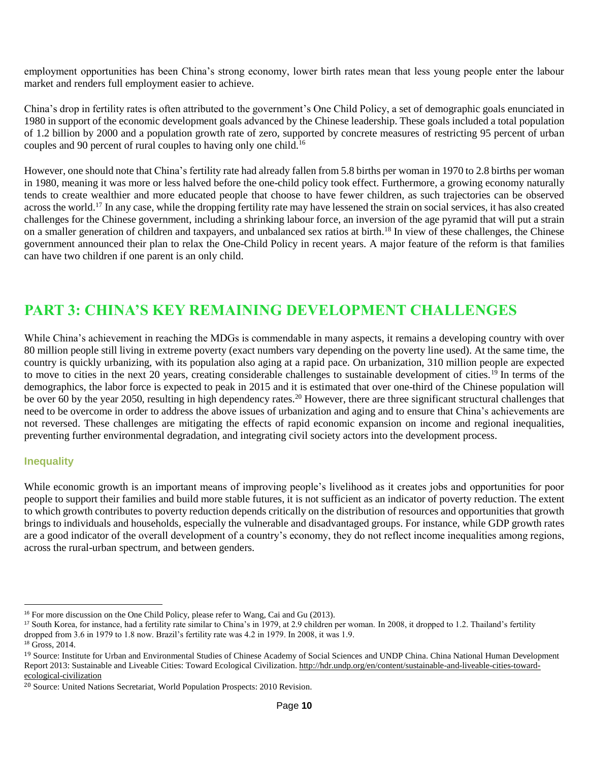employment opportunities has been China's strong economy, lower birth rates mean that less young people enter the labour market and renders full employment easier to achieve.

China's drop in fertility rates is often attributed to the government's One Child Policy, a set of demographic goals enunciated in 1980 in support of the economic development goals advanced by the Chinese leadership. These goals included a total population of 1.2 billion by 2000 and a population growth rate of zero, supported by concrete measures of restricting 95 percent of urban couples and 90 percent of rural couples to having only one child.<sup>16</sup>

However, one should note that China's fertility rate had already fallen from 5.8 births per woman in 1970 to 2.8 births per woman in 1980, meaning it was more or less halved before the one-child policy took effect. Furthermore, a growing economy naturally tends to create wealthier and more educated people that choose to have fewer children, as such trajectories can be observed across the world.<sup>17</sup> In any case, while the dropping fertility rate may have lessened the strain on social services, it has also created challenges for the Chinese government, including a shrinking labour force, an inversion of the age pyramid that will put a strain on a smaller generation of children and taxpayers, and unbalanced sex ratios at birth.<sup>18</sup> In view of these challenges, the Chinese government announced their plan to relax the One-Child Policy in recent years. A major feature of the reform is that families can have two children if one parent is an only child.

## **PART 3: CHINA'S KEY REMAINING DEVELOPMENT CHALLENGES**

While China's achievement in reaching the MDGs is commendable in many aspects, it remains a developing country with over 80 million people still living in extreme poverty (exact numbers vary depending on the poverty line used). At the same time, the country is quickly urbanizing, with its population also aging at a rapid pace. On urbanization, 310 million people are expected to move to cities in the next 20 years, creating considerable challenges to sustainable development of cities.<sup>19</sup> In terms of the demographics, the labor force is expected to peak in 2015 and it is estimated that over one-third of the Chinese population will be over 60 by the year 2050, resulting in high dependency rates.<sup>20</sup> However, there are three significant structural challenges that need to be overcome in order to address the above issues of urbanization and aging and to ensure that China's achievements are not reversed. These challenges are mitigating the effects of rapid economic expansion on income and regional inequalities, preventing further environmental degradation, and integrating civil society actors into the development process.

#### **Inequality**

While economic growth is an important means of improving people's livelihood as it creates jobs and opportunities for poor people to support their families and build more stable futures, it is not sufficient as an indicator of poverty reduction. The extent to which growth contributes to poverty reduction depends critically on the distribution of resources and opportunities that growth brings to individuals and households, especially the vulnerable and disadvantaged groups. For instance, while GDP growth rates are a good indicator of the overall development of a country's economy, they do not reflect income inequalities among regions, across the rural-urban spectrum, and between genders.

<sup>16</sup> For more discussion on the One Child Policy, please refer to Wang, Cai and Gu (2013).

<sup>17</sup> South Korea, for instance, had a fertility rate similar to China's in 1979, at 2.9 children per woman. In 2008, it dropped to 1.2. Thailand's fertility dropped from 3.6 in 1979 to 1.8 now. Brazil's fertility rate was 4.2 in 1979. In 2008, it was 1.9.

<sup>18</sup> Gross, 2014.

<sup>&</sup>lt;sup>19</sup> Source: Institute for Urban and Environmental Studies of Chinese Academy of Social Sciences and UNDP China. China National Human Development Report 2013: Sustainable and Liveable Cities: Toward Ecological Civilization. http://hdr.undp.org/en/content/sustainable-and-liveable-cities-towardecological-civilization

<sup>20</sup> Source: United Nations Secretariat, World Population Prospects: 2010 Revision.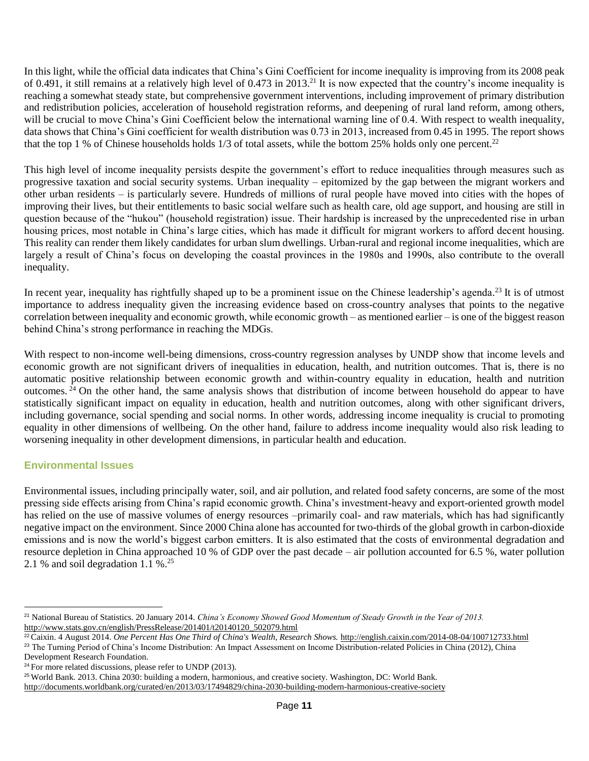In this light, while the official data indicates that China's Gini Coefficient for income inequality is improving from its 2008 peak of 0.491, it still remains at a relatively high level of 0.473 in 2013.<sup>21</sup> It is now expected that the country's income inequality is reaching a somewhat steady state, but comprehensive government interventions, including improvement of primary distribution and redistribution policies, acceleration of household registration reforms, and deepening of rural land reform, among others, will be crucial to move China's Gini Coefficient below the international warning line of 0.4. With respect to wealth inequality, data shows that China's Gini coefficient for wealth distribution was 0.73 in 2013, increased from 0.45 in 1995. The report shows that the top 1 % of Chinese households holds  $1/3$  of total assets, while the bottom 25% holds only one percent.<sup>22</sup>

This high level of income inequality persists despite the government's effort to reduce inequalities through measures such as progressive taxation and social security systems. Urban inequality – epitomized by the gap between the migrant workers and other urban residents – is particularly severe. Hundreds of millions of rural people have moved into cities with the hopes of improving their lives, but their entitlements to basic social welfare such as health care, old age support, and housing are still in question because of the "hukou" (household registration) issue. Their hardship is increased by the unprecedented rise in urban housing prices, most notable in China's large cities, which has made it difficult for migrant workers to afford decent housing. This reality can render them likely candidates for urban slum dwellings. Urban-rural and regional income inequalities, which are largely a result of China's focus on developing the coastal provinces in the 1980s and 1990s, also contribute to the overall inequality.

In recent year, inequality has rightfully shaped up to be a prominent issue on the Chinese leadership's agenda.<sup>23</sup> It is of utmost importance to address inequality given the increasing evidence based on cross-country analyses that points to the negative correlation between inequality and economic growth, while economic growth – as mentioned earlier – is one of the biggest reason behind China's strong performance in reaching the MDGs.

With respect to non-income well-being dimensions, cross-country regression analyses by UNDP show that income levels and economic growth are not significant drivers of inequalities in education, health, and nutrition outcomes. That is, there is no automatic positive relationship between economic growth and within-country equality in education, health and nutrition outcomes. <sup>24</sup> On the other hand, the same analysis shows that distribution of income between household do appear to have statistically significant impact on equality in education, health and nutrition outcomes, along with other significant drivers, including governance, social spending and social norms. In other words, addressing income inequality is crucial to promoting equality in other dimensions of wellbeing. On the other hand, failure to address income inequality would also risk leading to worsening inequality in other development dimensions, in particular health and education.

#### **Environmental Issues**

Environmental issues, including principally water, soil, and air pollution, and related food safety concerns, are some of the most pressing side effects arising from China's rapid economic growth. China's investment-heavy and export-oriented growth model has relied on the use of massive volumes of energy resources –primarily coal- and raw materials, which has had significantly negative impact on the environment. Since 2000 China alone has accounted for two-thirds of the global growth in carbon-dioxide emissions and is now the world's biggest carbon emitters. It is also estimated that the costs of environmental degradation and resource depletion in China approached 10 % of GDP over the past decade – air pollution accounted for 6.5 %, water pollution 2.1 % and soil degradation 1.1 %.<sup>25</sup>

<sup>21</sup> National Bureau of Statistics. 20 January 2014. *China's Economy Showed Good Momentum of Steady Growth in the Year of 2013.* http://www.stats.gov.cn/english/PressRelease/201401/t20140120\_502079.html

<sup>22</sup>Caixin. 4 August 2014. *One Percent Has One Third of China's Wealth, Research Shows.* http://english.caixin.com/2014-08-04/100712733.html

<sup>&</sup>lt;sup>23</sup> The Turning Period of China's Income Distribution: An Impact Assessment on Income Distribution-related Policies in China (2012), China Development Research Foundation.

<sup>&</sup>lt;sup>24</sup> For more related discussions, please refer to UNDP (2013).

<sup>25</sup>World Bank. 2013. China 2030: building a modern, harmonious, and creative society. Washington, DC: World Bank.

http://documents.worldbank.org/curated/en/2013/03/17494829/china-2030-building-modern-harmonious-creative-society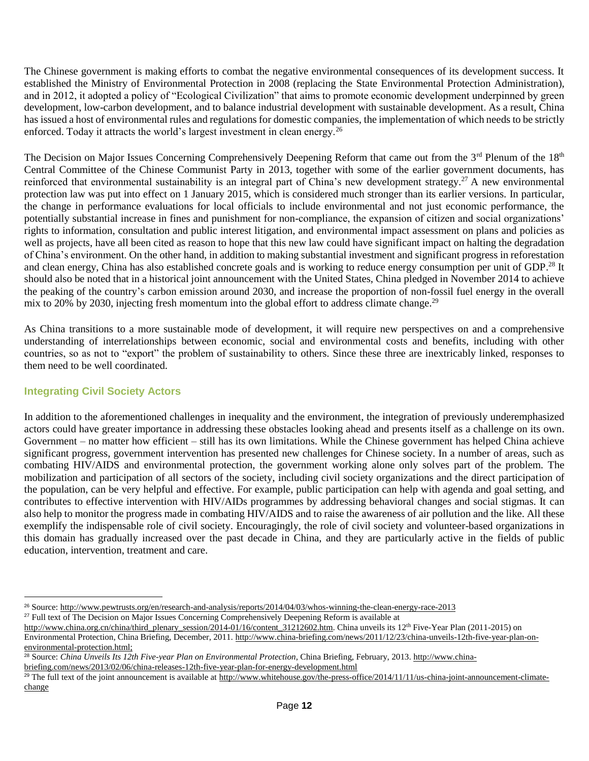The Chinese government is making efforts to combat the negative environmental consequences of its development success. It established the Ministry of Environmental Protection in 2008 (replacing the State Environmental Protection Administration), and in 2012, it adopted a policy of "Ecological Civilization" that aims to promote economic development underpinned by green development, low-carbon development, and to balance industrial development with sustainable development. As a result, China has issued a host of environmental rules and regulations for domestic companies, the implementation of which needs to be strictly enforced. Today it attracts the world's largest investment in clean energy.<sup>26</sup>

The Decision on Major Issues Concerning Comprehensively Deepening Reform that came out from the 3<sup>rd</sup> Plenum of the 18<sup>th</sup> Central Committee of the Chinese Communist Party in 2013, together with some of the earlier government documents, has reinforced that environmental sustainability is an integral part of China's new development strategy.<sup>27</sup> A new environmental protection law was put into effect on 1 January 2015, which is considered much stronger than its earlier versions. In particular, the change in performance evaluations for local officials to include environmental and not just economic performance, the potentially substantial increase in fines and punishment for non-compliance, the expansion of citizen and social organizations' rights to information, consultation and public interest litigation, and environmental impact assessment on plans and policies as well as projects, have all been cited as reason to hope that this new law could have significant impact on halting the degradation of China's environment. On the other hand, in addition to making substantial investment and significant progress in reforestation and clean energy, China has also established concrete goals and is working to reduce energy consumption per unit of GDP.<sup>28</sup> It should also be noted that in a historical joint announcement with the United States, China pledged in November 2014 to achieve the peaking of the country's carbon emission around 2030, and increase the proportion of non-fossil fuel energy in the overall mix to 20% by 2030, injecting fresh momentum into the global effort to address climate change.<sup>29</sup>

As China transitions to a more sustainable mode of development, it will require new perspectives on and a comprehensive understanding of interrelationships between economic, social and environmental costs and benefits, including with other countries, so as not to "export" the problem of sustainability to others. Since these three are inextricably linked, responses to them need to be well coordinated.

#### **Integrating Civil Society Actors**

In addition to the aforementioned challenges in inequality and the environment, the integration of previously underemphasized actors could have greater importance in addressing these obstacles looking ahead and presents itself as a challenge on its own. Government – no matter how efficient – still has its own limitations. While the Chinese government has helped China achieve significant progress, government intervention has presented new challenges for Chinese society. In a number of areas, such as combating HIV/AIDS and environmental protection, the government working alone only solves part of the problem. The mobilization and participation of all sectors of the society, including civil society organizations and the direct participation of the population, can be very helpful and effective. For example, public participation can help with agenda and goal setting, and contributes to effective intervention with HIV/AIDs programmes by addressing behavioral changes and social stigmas. It can also help to monitor the progress made in combating HIV/AIDS and to raise the awareness of air pollution and the like. All these exemplify the indispensable role of civil society. Encouragingly, the role of civil society and volunteer-based organizations in this domain has gradually increased over the past decade in China, and they are particularly active in the fields of public education, intervention, treatment and care.

[environmental-protection.html;](http://www.china-briefing.com/news/2011/12/23/china-unveils-12th-five-year-plan-on-environmental-protection.html)

[briefing.com/news/2013/02/06/china-releases-12th-five-year-plan-for-energy-development.html](http://www.china-briefing.com/news/2013/02/06/china-releases-12th-five-year-plan-for-energy-development.html)

<sup>26</sup> Source: http://www.pewtrusts.org/en/research-and-analysis/reports/2014/04/03/whos-winning-the-clean-energy-race-2013

<sup>&</sup>lt;sup>27</sup> Full text of The Decision on Major Issues Concerning Comprehensively Deepening Reform is available at

[http://www.china.org.cn/china/third\\_plenary\\_session/2014-01/16/content\\_31212602.htm.](http://www.china.org.cn/china/third_plenary_session/2014-01/16/content_31212602.htm) China unveils its 12<sup>th</sup> Five-Year Plan (2011-2015) on Environmental Protection, China Briefing, December, 2011[. http://www.china-briefing.com/news/2011/12/23/china-unveils-12th-five-year-plan-on-](http://www.china-briefing.com/news/2011/12/23/china-unveils-12th-five-year-plan-on-environmental-protection.html)

<sup>&</sup>lt;sup>28</sup> Source: *China Unveils Its 12th Five-year Plan on Environmental Protection*, China Briefing, February, 2013. [http://www.china-](http://www.china-briefing.com/news/2013/02/06/china-releases-12th-five-year-plan-for-energy-development.html)

<sup>&</sup>lt;sup>29</sup> The full text of the joint announcement is available at  $\underline{http://www.whitehouse.gov/he-press-office/2014/11/11/us-china-joint-announcement-climate$ change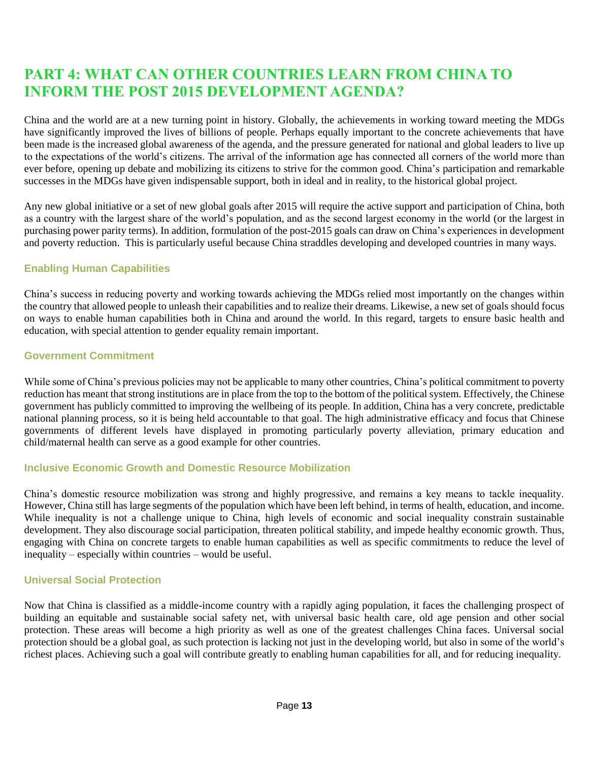# **PART 4: WHAT CAN OTHER COUNTRIES LEARN FROM CHINA TO INFORM THE POST 2015 DEVELOPMENT AGENDA?**

China and the world are at a new turning point in history. Globally, the achievements in working toward meeting the MDGs have significantly improved the lives of billions of people. Perhaps equally important to the concrete achievements that have been made is the increased global awareness of the agenda, and the pressure generated for national and global leaders to live up to the expectations of the world's citizens. The arrival of the information age has connected all corners of the world more than ever before, opening up debate and mobilizing its citizens to strive for the common good. China's participation and remarkable successes in the MDGs have given indispensable support, both in ideal and in reality, to the historical global project.

Any new global initiative or a set of new global goals after 2015 will require the active support and participation of China, both as a country with the largest share of the world's population, and as the second largest economy in the world (or the largest in purchasing power parity terms). In addition, formulation of the post-2015 goals can draw on China's experiences in development and poverty reduction. This is particularly useful because China straddles developing and developed countries in many ways.

#### **Enabling Human Capabilities**

China's success in reducing poverty and working towards achieving the MDGs relied most importantly on the changes within the country that allowed people to unleash their capabilities and to realize their dreams. Likewise, a new set of goals should focus on ways to enable human capabilities both in China and around the world. In this regard, targets to ensure basic health and education, with special attention to gender equality remain important.

#### **Government Commitment**

While some of China's previous policies may not be applicable to many other countries, China's political commitment to poverty reduction has meant that strong institutions are in place from the top to the bottom of the political system. Effectively, the Chinese government has publicly committed to improving the wellbeing of its people. In addition, China has a very concrete, predictable national planning process, so it is being held accountable to that goal. The high administrative efficacy and focus that Chinese governments of different levels have displayed in promoting particularly poverty alleviation, primary education and child/maternal health can serve as a good example for other countries.

#### **Inclusive Economic Growth and Domestic Resource Mobilization**

China's domestic resource mobilization was strong and highly progressive, and remains a key means to tackle inequality. However, China still has large segments of the population which have been left behind, in terms of health, education, and income. While inequality is not a challenge unique to China, high levels of economic and social inequality constrain sustainable development. They also discourage social participation, threaten political stability, and impede healthy economic growth. Thus, engaging with China on concrete targets to enable human capabilities as well as specific commitments to reduce the level of inequality – especially within countries – would be useful.

#### **Universal Social Protection**

Now that China is classified as a middle-income country with a rapidly aging population, it faces the challenging prospect of building an equitable and sustainable social safety net, with universal basic health care, old age pension and other social protection. These areas will become a high priority as well as one of the greatest challenges China faces. Universal social protection should be a global goal, as such protection is lacking not just in the developing world, but also in some of the world's richest places. Achieving such a goal will contribute greatly to enabling human capabilities for all, and for reducing inequality.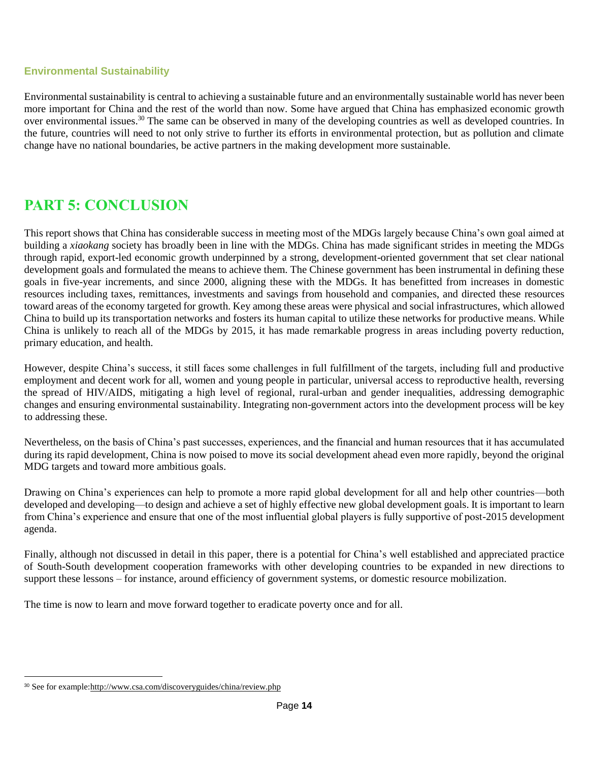#### **Environmental Sustainability**

Environmental sustainability is central to achieving a sustainable future and an environmentally sustainable world has never been more important for China and the rest of the world than now. Some have argued that China has emphasized economic growth over environmental issues.<sup>30</sup> The same can be observed in many of the developing countries as well as developed countries. In the future, countries will need to not only strive to further its efforts in environmental protection, but as pollution and climate change have no national boundaries, be active partners in the making development more sustainable.

# **PART 5: CONCLUSION**

This report shows that China has considerable success in meeting most of the MDGs largely because China's own goal aimed at building a *xiaokang* society has broadly been in line with the MDGs. China has made significant strides in meeting the MDGs through rapid, export-led economic growth underpinned by a strong, development-oriented government that set clear national development goals and formulated the means to achieve them. The Chinese government has been instrumental in defining these goals in five-year increments, and since 2000, aligning these with the MDGs. It has benefitted from increases in domestic resources including taxes, remittances, investments and savings from household and companies, and directed these resources toward areas of the economy targeted for growth. Key among these areas were physical and social infrastructures, which allowed China to build up its transportation networks and fosters its human capital to utilize these networks for productive means. While China is unlikely to reach all of the MDGs by 2015, it has made remarkable progress in areas including poverty reduction, primary education, and health.

However, despite China's success, it still faces some challenges in full fulfillment of the targets, including full and productive employment and decent work for all, women and young people in particular, universal access to reproductive health, reversing the spread of HIV/AIDS, mitigating a high level of regional, rural-urban and gender inequalities, addressing demographic changes and ensuring environmental sustainability. Integrating non-government actors into the development process will be key to addressing these.

Nevertheless, on the basis of China's past successes, experiences, and the financial and human resources that it has accumulated during its rapid development, China is now poised to move its social development ahead even more rapidly, beyond the original MDG targets and toward more ambitious goals.

Drawing on China's experiences can help to promote a more rapid global development for all and help other countries—both developed and developing—to design and achieve a set of highly effective new global development goals. It is important to learn from China's experience and ensure that one of the most influential global players is fully supportive of post-2015 development agenda.

Finally, although not discussed in detail in this paper, there is a potential for China's well established and appreciated practice of South-South development cooperation frameworks with other developing countries to be expanded in new directions to support these lessons – for instance, around efficiency of government systems, or domestic resource mobilization.

The time is now to learn and move forward together to eradicate poverty once and for all.

<sup>30</sup> See for example[:http://www.csa.com/discoveryguides/china/review.php](http://www.csa.com/discoveryguides/china/review.php)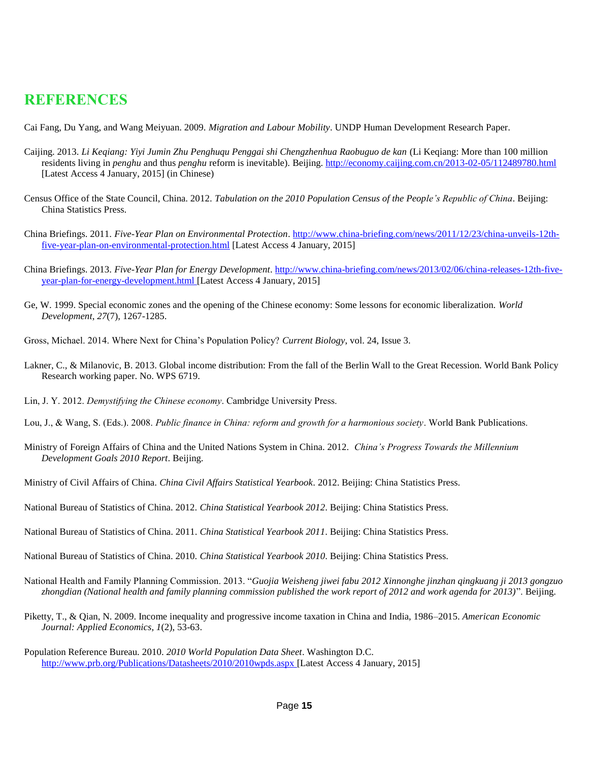### **REFERENCES**

Cai Fang, Du Yang, and Wang Meiyuan. 2009. *Migration and Labour Mobility*. UNDP Human Development Research Paper.

- Caijing. 2013. *Li Keqiang: Yiyi Jumin Zhu Penghuqu Penggai shi Chengzhenhua Raobuguo de kan* (Li Keqiang: More than 100 million residents living in *penghu* and thus *penghu* reform is inevitable). Beijing[. http://economy.caijing.com.cn/2013-02-05/112489780.html](http://economy.caijing.com.cn/2013-02-05/112489780.html) [Latest Access 4 January, 2015] (in Chinese)
- Census Office of the State Council, China. 2012. *Tabulation on the 2010 Population Census of the People's Republic of China*. Beijing: China Statistics Press.
- China Briefings. 2011. *Five-Year Plan on Environmental Protection*. [http://www.china-briefing.com/news/2011/12/23/china-unveils-12th](http://www.china-briefing.com/news/2011/12/23/china-unveils-12th-five-year-plan-on-environmental-protection.html)[five-year-plan-on-environmental-protection.html](http://www.china-briefing.com/news/2011/12/23/china-unveils-12th-five-year-plan-on-environmental-protection.html) [Latest Access 4 January, 2015]
- China Briefings. 2013. *Five-Year Plan for Energy Development*. [http://www.china-briefing.com/news/2013/02/06/china-releases-12th-five](http://www.china-briefing.com/news/2013/02/06/china-releases-12th-five-year-plan-for-energy-development.html)[year-plan-for-energy-development.html](http://www.china-briefing.com/news/2013/02/06/china-releases-12th-five-year-plan-for-energy-development.html) [Latest Access 4 January, 2015]
- Ge, W. 1999. Special economic zones and the opening of the Chinese economy: Some lessons for economic liberalization. *World Development*, *27*(7), 1267-1285.
- Gross, Michael. 2014. Where Next for China's Population Policy? *Current Biology*, vol. 24, Issue 3.
- Lakner, C., & Milanovic, B. 2013. Global income distribution: From the fall of the Berlin Wall to the Great Recession. World Bank Policy Research working paper. No. WPS 6719.
- Lin, J. Y. 2012. *Demystifying the Chinese economy*. Cambridge University Press.
- Lou, J., & Wang, S. (Eds.). 2008. *Public finance in China: reform and growth for a harmonious society*. World Bank Publications.
- Ministry of Foreign Affairs of China and the United Nations System in China. 2012. *China's Progress Towards the Millennium Development Goals 2010 Report*. Beijing.
- Ministry of Civil Affairs of China. *China Civil Affairs Statistical Yearbook*. 2012. Beijing: China Statistics Press.
- National Bureau of Statistics of China. 2012. *China Statistical Yearbook 2012*. Beijing: China Statistics Press.
- National Bureau of Statistics of China. 2011. *China Statistical Yearbook 2011*. Beijing: China Statistics Press.

National Bureau of Statistics of China. 2010. *China Statistical Yearbook 2010*. Beijing: China Statistics Press.

- National Health and Family Planning Commission. 2013. "*Guojia Weisheng jiwei fabu 2012 Xinnonghe jinzhan qingkuang ji 2013 gongzuo zhongdian (National health and family planning commission published the work report of 2012 and work agenda for 2013)*". Beijing.
- Piketty, T., & Qian, N. 2009. Income inequality and progressive income taxation in China and India, 1986–2015. *American Economic Journal: Applied Economics*, *1*(2), 53-63.
- Population Reference Bureau. 2010. *2010 World Population Data Sheet*. Washington D.C. <http://www.prb.org/Publications/Datasheets/2010/2010wpds.aspx> [Latest Access 4 January, 2015]